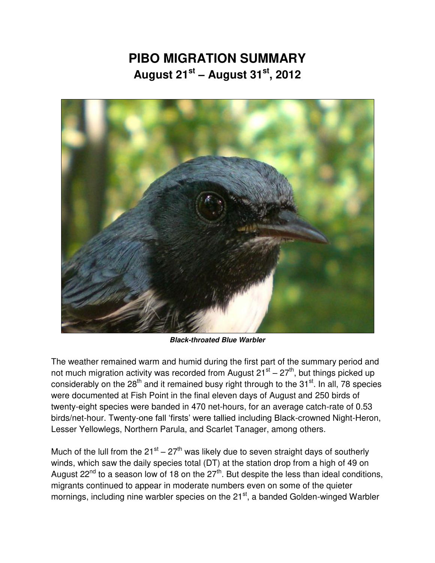## **PIBO MIGRATION SUMMARY August 21st – August 31st, 2012**



*Black-throated Blue Warbler* 

The weather remained warm and humid during the first part of the summary period and not much migration activity was recorded from August 21<sup>st</sup> – 27<sup>th</sup>, but things picked up considerably on the 28<sup>th</sup> and it remained busy right through to the 31<sup>st</sup>. In all, 78 species were documented at Fish Point in the final eleven days of August and 250 birds of twenty-eight species were banded in 470 net-hours, for an average catch-rate of 0.53 birds/net-hour. Twenty-one fall 'firsts' were tallied including Black-crowned Night-Heron, Lesser Yellowlegs, Northern Parula, and Scarlet Tanager, among others.

Much of the lull from the  $21^{st} - 27^{th}$  was likely due to seven straight days of southerly winds, which saw the daily species total (DT) at the station drop from a high of 49 on August 22<sup>nd</sup> to a season low of 18 on the 27<sup>th</sup>. But despite the less than ideal conditions, migrants continued to appear in moderate numbers even on some of the quieter mornings, including nine warbler species on the 21<sup>st</sup>, a banded Golden-winged Warbler